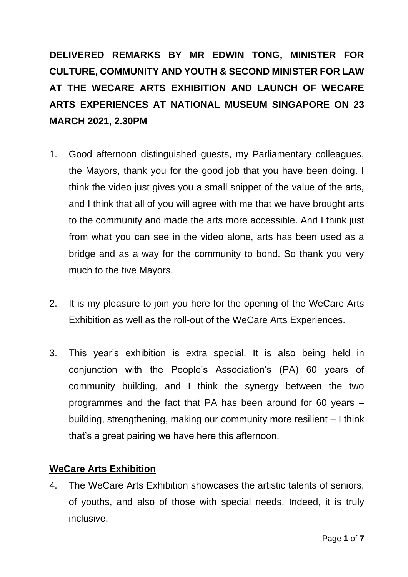**DELIVERED REMARKS BY MR EDWIN TONG, MINISTER FOR CULTURE, COMMUNITY AND YOUTH & SECOND MINISTER FOR LAW AT THE WECARE ARTS EXHIBITION AND LAUNCH OF WECARE ARTS EXPERIENCES AT NATIONAL MUSEUM SINGAPORE ON 23 MARCH 2021, 2.30PM** 

- 1. Good afternoon distinguished guests, my Parliamentary colleagues, the Mayors, thank you for the good job that you have been doing. I think the video just gives you a small snippet of the value of the arts, and I think that all of you will agree with me that we have brought arts to the community and made the arts more accessible. And I think just from what you can see in the video alone, arts has been used as a bridge and as a way for the community to bond. So thank you very much to the five Mayors.
- 2. It is my pleasure to join you here for the opening of the WeCare Arts Exhibition as well as the roll-out of the WeCare Arts Experiences.
- 3. This year's exhibition is extra special. It is also being held in conjunction with the People's Association's (PA) 60 years of community building, and I think the synergy between the two programmes and the fact that PA has been around for 60 years – building, strengthening, making our community more resilient – I think that's a great pairing we have here this afternoon.

## **WeCare Arts Exhibition**

4. The WeCare Arts Exhibition showcases the artistic talents of seniors, of youths, and also of those with special needs. Indeed, it is truly inclusive.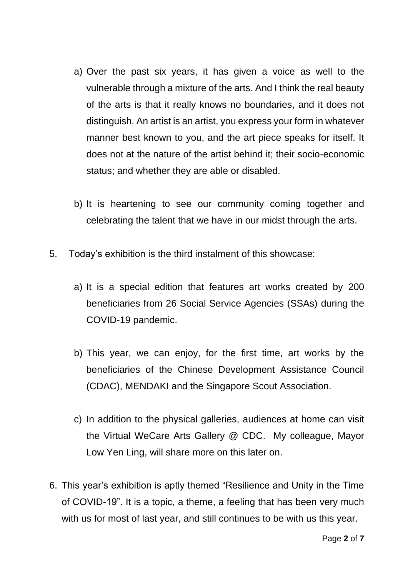- a) Over the past six years, it has given a voice as well to the vulnerable through a mixture of the arts. And I think the real beauty of the arts is that it really knows no boundaries, and it does not distinguish. An artist is an artist, you express your form in whatever manner best known to you, and the art piece speaks for itself. It does not at the nature of the artist behind it; their socio-economic status; and whether they are able or disabled.
- b) It is heartening to see our community coming together and celebrating the talent that we have in our midst through the arts.
- 5. Today's exhibition is the third instalment of this showcase:
	- a) It is a special edition that features art works created by 200 beneficiaries from 26 Social Service Agencies (SSAs) during the COVID-19 pandemic.
	- b) This year, we can enjoy, for the first time, art works by the beneficiaries of the Chinese Development Assistance Council (CDAC), MENDAKI and the Singapore Scout Association.
	- c) In addition to the physical galleries, audiences at home can visit the Virtual WeCare Arts Gallery @ CDC. My colleague, Mayor Low Yen Ling, will share more on this later on.
- 6. This year's exhibition is aptly themed "Resilience and Unity in the Time of COVID-19". It is a topic, a theme, a feeling that has been very much with us for most of last year, and still continues to be with us this year.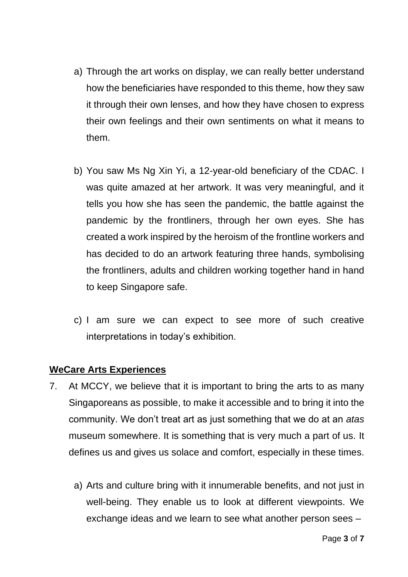- a) Through the art works on display, we can really better understand how the beneficiaries have responded to this theme, how they saw it through their own lenses, and how they have chosen to express their own feelings and their own sentiments on what it means to them.
- b) You saw Ms Ng Xin Yi, a 12-year-old beneficiary of the CDAC. I was quite amazed at her artwork. It was very meaningful, and it tells you how she has seen the pandemic, the battle against the pandemic by the frontliners, through her own eyes. She has created a work inspired by the heroism of the frontline workers and has decided to do an artwork featuring three hands, symbolising the frontliners, adults and children working together hand in hand to keep Singapore safe.
- c) I am sure we can expect to see more of such creative interpretations in today's exhibition.

## **WeCare Arts Experiences**

- 7. At MCCY, we believe that it is important to bring the arts to as many Singaporeans as possible, to make it accessible and to bring it into the community. We don't treat art as just something that we do at an *atas* museum somewhere. It is something that is very much a part of us. It defines us and gives us solace and comfort, especially in these times.
	- a) Arts and culture bring with it innumerable benefits, and not just in well-being. They enable us to look at different viewpoints. We exchange ideas and we learn to see what another person sees –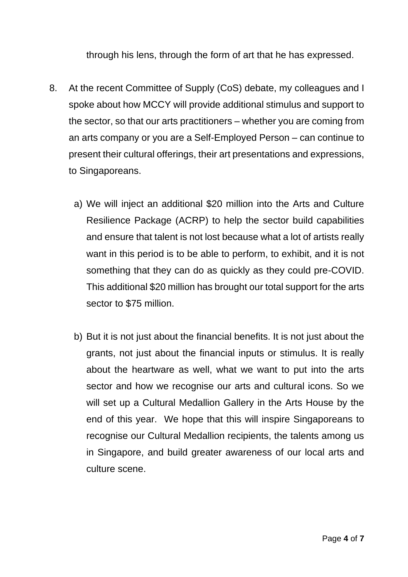through his lens, through the form of art that he has expressed.

- 8. At the recent Committee of Supply (CoS) debate, my colleagues and I spoke about how MCCY will provide additional stimulus and support to the sector, so that our arts practitioners – whether you are coming from an arts company or you are a Self-Employed Person – can continue to present their cultural offerings, their art presentations and expressions, to Singaporeans.
	- a) We will inject an additional \$20 million into the Arts and Culture Resilience Package (ACRP) to help the sector build capabilities and ensure that talent is not lost because what a lot of artists really want in this period is to be able to perform, to exhibit, and it is not something that they can do as quickly as they could pre-COVID. This additional \$20 million has brought our total support for the arts sector to \$75 million.
	- b) But it is not just about the financial benefits. It is not just about the grants, not just about the financial inputs or stimulus. It is really about the heartware as well, what we want to put into the arts sector and how we recognise our arts and cultural icons. So we will set up a Cultural Medallion Gallery in the Arts House by the end of this year. We hope that this will inspire Singaporeans to recognise our Cultural Medallion recipients, the talents among us in Singapore, and build greater awareness of our local arts and culture scene.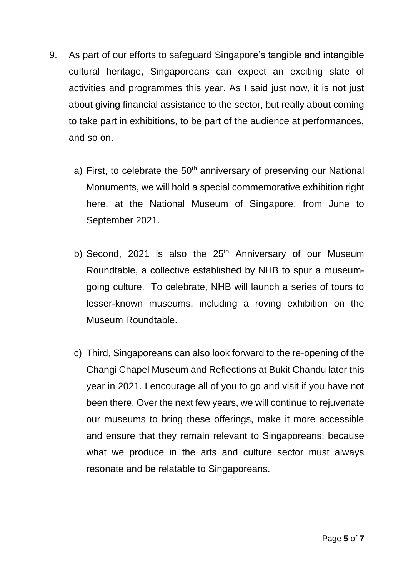- 9. As part of our efforts to safeguard Singapore's tangible and intangible cultural heritage, Singaporeans can expect an exciting slate of activities and programmes this year. As I said just now, it is not just about giving financial assistance to the sector, but really about coming to take part in exhibitions, to be part of the audience at performances, and so on.
	- a) First, to celebrate the  $50<sup>th</sup>$  anniversary of preserving our National Monuments, we will hold a special commemorative exhibition right here, at the National Museum of Singapore, from June to September 2021.
	- b) Second, 2021 is also the  $25<sup>th</sup>$  Anniversary of our Museum Roundtable, a collective established by NHB to spur a museumgoing culture. To celebrate, NHB will launch a series of tours to lesser-known museums, including a roving exhibition on the Museum Roundtable.
	- c) Third, Singaporeans can also look forward to the re-opening of the Changi Chapel Museum and Reflections at Bukit Chandu later this year in 2021. I encourage all of you to go and visit if you have not been there. Over the next few years, we will continue to rejuvenate our museums to bring these offerings, make it more accessible and ensure that they remain relevant to Singaporeans, because what we produce in the arts and culture sector must always resonate and be relatable to Singaporeans.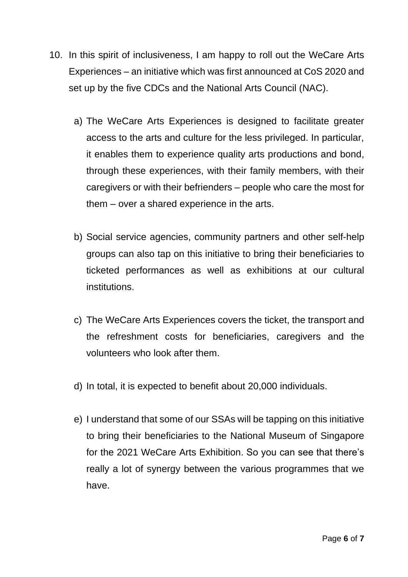- 10. In this spirit of inclusiveness, I am happy to roll out the WeCare Arts Experiences – an initiative which was first announced at CoS 2020 and set up by the five CDCs and the National Arts Council (NAC).
	- a) The WeCare Arts Experiences is designed to facilitate greater access to the arts and culture for the less privileged. In particular, it enables them to experience quality arts productions and bond, through these experiences, with their family members, with their caregivers or with their befrienders – people who care the most for them – over a shared experience in the arts.
	- b) Social service agencies, community partners and other self-help groups can also tap on this initiative to bring their beneficiaries to ticketed performances as well as exhibitions at our cultural institutions.
	- c) The WeCare Arts Experiences covers the ticket, the transport and the refreshment costs for beneficiaries, caregivers and the volunteers who look after them.
	- d) In total, it is expected to benefit about 20,000 individuals.
	- e) I understand that some of our SSAs will be tapping on this initiative to bring their beneficiaries to the National Museum of Singapore for the 2021 WeCare Arts Exhibition. So you can see that there's really a lot of synergy between the various programmes that we have.